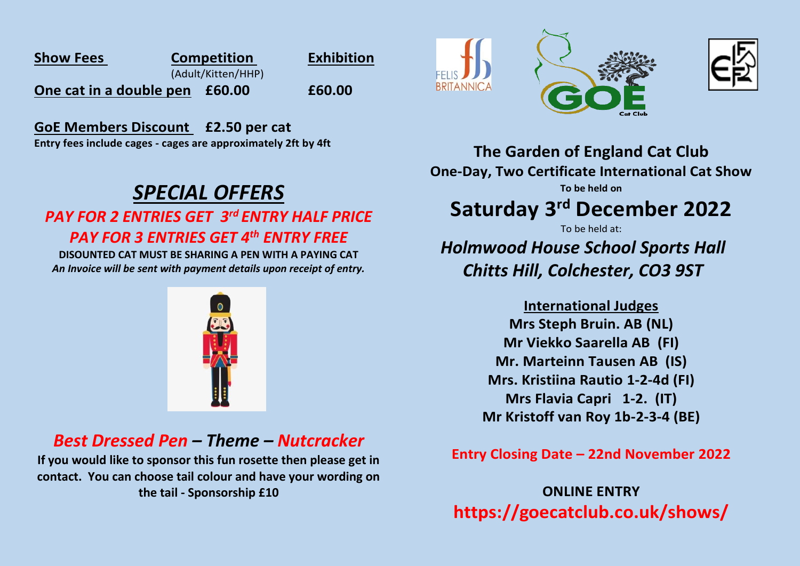| <b>Show Fees</b>               | <b>Competition</b> | <b>Exhibition</b> |
|--------------------------------|--------------------|-------------------|
| (Adult/Kitten/HHP)             |                    |                   |
| One cat in a double pen £60.00 |                    | £60.00            |

**GoE Members Discount £2.50 per cat Entry fees include cages - cages are approximately 2ft by 4ft**

# *SPECIAL OFFERS*

### *PAY FOR 2 ENTRIES GET 3rd ENTRY HALF PRICE PAY FOR 3 ENTRIES GET 4th ENTRY FREE*

**DISOUNTED CAT MUST BE SHARING A PEN WITH A PAYING CAT** *An Invoice will be sent with payment details upon receipt of entry.* 



## *Best Dressed Pen – Theme – Nutcracker*

**If you would like to sponsor this fun rosette then please get in contact. You can choose tail colour and have your wording on the tail - Sponsorship £10**







**The Garden of England Cat Club One-Day, Two Certificate International Cat Show To be held on**

# **Saturday 3 rd December 2022**

To be held at:

## *Holmwood House School Sports Hall Chitts Hill, Colchester, CO3 9ST*

**International Judges Mrs Steph Bruin. AB (NL) Mr Viekko Saarella AB (FI) Mr. Marteinn Tausen AB (IS) Mrs. Kristiina Rautio 1-2-4d (FI) Mrs Flavia Capri 1-2. (IT) Mr Kristoff van Roy 1b-2-3-4 (BE)**

**Entry Closing Date – 22nd November 2022**

**ONLINE ENTRY https://goecatclub.co.uk/shows/**